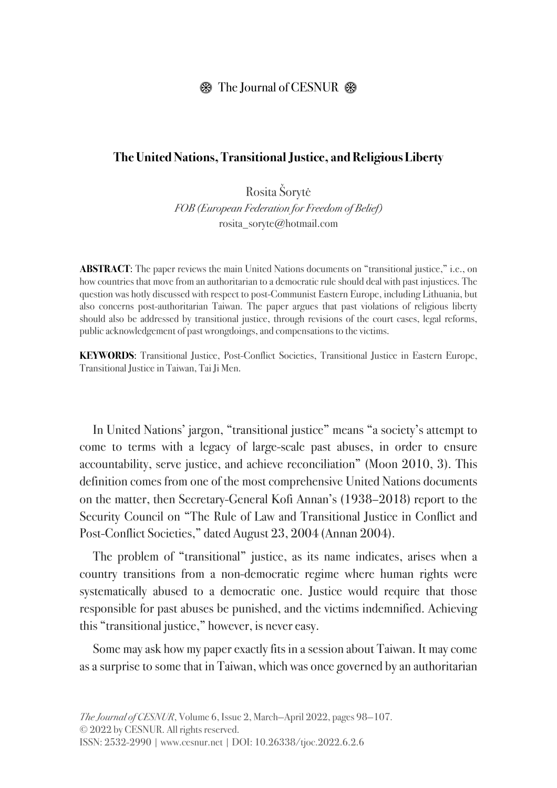## $\circledR$  The Journal of CESNUR  $\circledR$

## **The United Nations, Transitional Justice, and Religious Liberty**

Rosita Šorytė *FOB (European Federation for Freedom of Belief)* rosita\_soryte@hotmail.com

**ABSTRACT:** The paper reviews the main United Nations documents on "transitional justice," i.e., on how countries that move from an authoritarian to a democratic rule should deal with past injustices. The question was hotly discussed with respect to post-Communist Eastern Europe, including Lithuania, but also concerns post-authoritarian Taiwan. The paper argues that past violations of religious liberty should also be addressed by transitional justice, through revisions of the court cases, legal reforms, public acknowledgement of past wrongdoings, and compensations to the victims.

**KEYWORDS**: Transitional Justice, Post-Conflict Societies, Transitional Justice in Eastern Europe, Transitional Justice in Taiwan, Tai Ji Men.

In United Nations' jargon, "transitional justice" means "a society's attempt to come to terms with a legacy of large-scale past abuses, in order to ensure accountability, serve justice, and achieve reconciliation" (Moon 2010, 3). This definition comes from one of the most comprehensive United Nations documents on the matter, then Secretary-General Kofi Annan's (1938–2018) report to the Security Council on "The Rule of Law and Transitional Justice in Conflict and Post-Conflict Societies," dated August 23, 2004 (Annan 2004).

The problem of "transitional" justice, as its name indicates, arises when a country transitions from a non-democratic regime where human rights were systematically abused to a democratic one. Justice would require that those responsible for past abuses be punished, and the victims indemnified. Achieving this "transitional justice," however, is never easy.

Some may ask how my paper exactly fits in a session about Taiwan. It may come as a surprise to some that in Taiwan, which was once governed by an authoritarian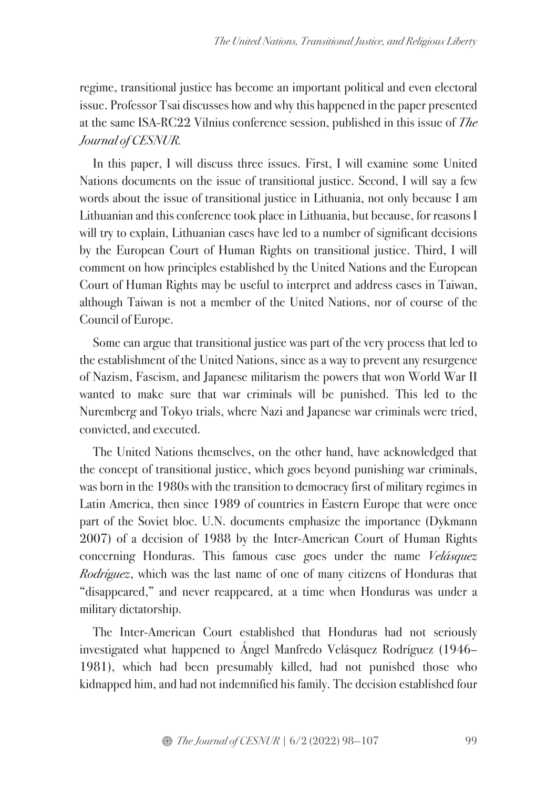regime, transitional justice has become an important political and even electoral issue. Professor Tsai discusses how and why this happened in the paper presented at the same ISA-RC22 Vilnius conference session, published in this issue of *The Journal of CESNUR.*

In this paper, I will discuss three issues. First, I will examine some United Nations documents on the issue of transitional justice. Second, I will say a few words about the issue of transitional justice in Lithuania, not only because I am Lithuanian and this conference took place in Lithuania, but because, for reasons I will try to explain, Lithuanian cases have led to a number of significant decisions by the European Court of Human Rights on transitional justice. Third, I will comment on how principles established by the United Nations and the European Court of Human Rights may be useful to interpret and address cases in Taiwan, although Taiwan is not a member of the United Nations, nor of course of the Council of Europe.

Some can argue that transitional justice was part of the very process that led to the establishment of the United Nations, since as a way to prevent any resurgence of Nazism, Fascism, and Japanese militarism the powers that won World War II wanted to make sure that war criminals will be punished. This led to the Nuremberg and Tokyo trials, where Nazi and Japanese war criminals were tried, convicted, and executed.

The United Nations themselves, on the other hand, have acknowledged that the concept of transitional justice, which goes beyond punishing war criminals, was born in the 1980s with the transition to democracy first of military regimes in Latin America, then since 1989 of countries in Eastern Europe that were once part of the Soviet bloc. U.N. documents emphasize the importance (Dykmann 2007) of a decision of 1988 by the Inter-American Court of Human Rights concerning Honduras. This famous case goes under the name *Velásquez Rodríguez*, which was the last name of one of many citizens of Honduras that "disappeared," and never reappeared, at a time when Honduras was under a military dictatorship.

The Inter-American Court established that Honduras had not seriously investigated what happened to Ángel Manfredo Velásquez Rodríguez (1946– 1981), which had been presumably killed, had not punished those who kidnapped him, and had not indemnified his family. The decision established four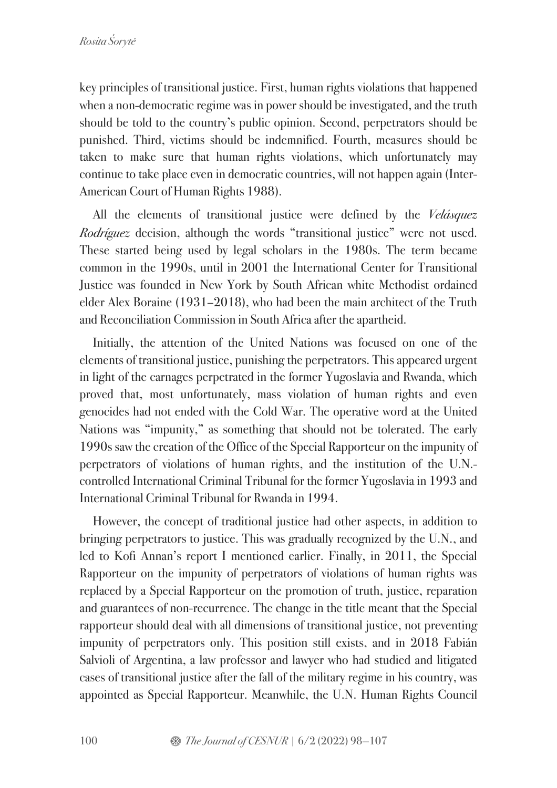key principles of transitional justice. First, human rights violations that happened when a non-democratic regime was in power should be investigated, and the truth should be told to the country's public opinion. Second, perpetrators should be punished. Third, victims should be indemnified. Fourth, measures should be taken to make sure that human rights violations, which unfortunately may continue to take place even in democratic countries, will not happen again (Inter-American Court of Human Rights 1988).

All the elements of transitional justice were defined by the *Velásquez Rodríguez* decision, although the words "transitional justice" were not used. These started being used by legal scholars in the 1980s. The term became common in the 1990s, until in 2001 the International Center for Transitional Justice was founded in New York by South African white Methodist ordained elder Alex Boraine (1931–2018), who had been the main architect of the Truth and Reconciliation Commission in South Africa after the apartheid.

Initially, the attention of the United Nations was focused on one of the elements of transitional justice, punishing the perpetrators. This appeared urgent in light of the carnages perpetrated in the former Yugoslavia and Rwanda, which proved that, most unfortunately, mass violation of human rights and even genocides had not ended with the Cold War. The operative word at the United Nations was "impunity," as something that should not be tolerated. The early 1990s saw the creation of the Office of the Special Rapporteur on the impunity of perpetrators of violations of human rights, and the institution of the U.N. controlled International Criminal Tribunal for the former Yugoslavia in 1993 and International Criminal Tribunal for Rwanda in 1994.

However, the concept of traditional justice had other aspects, in addition to bringing perpetrators to justice. This was gradually recognized by the U.N., and led to Kofi Annan's report I mentioned earlier. Finally, in 2011, the Special Rapporteur on the impunity of perpetrators of violations of human rights was replaced by a Special Rapporteur on the promotion of truth, justice, reparation and guarantees of non-recurrence. The change in the title meant that the Special rapporteur should deal with all dimensions of transitional justice, not preventing impunity of perpetrators only. This position still exists, and in 2018 Fabián Salvioli of Argentina, a law professor and lawyer who had studied and litigated cases of transitional justice after the fall of the military regime in his country, was appointed as Special Rapporteur. Meanwhile, the U.N. Human Rights Council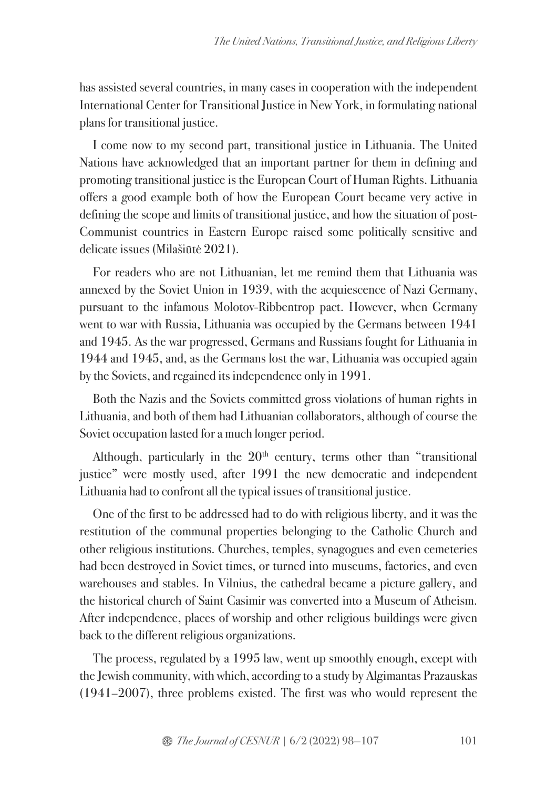has assisted several countries, in many cases in cooperation with the independent International Center for Transitional Justice in New York, in formulating national plans for transitional justice.

I come now to my second part, transitional justice in Lithuania. The United Nations have acknowledged that an important partner for them in defining and promoting transitional justice is the European Court of Human Rights. Lithuania offers a good example both of how the European Court became very active in defining the scope and limits of transitional justice, and how the situation of post-Communist countries in Eastern Europe raised some politically sensitive and delicate issues (Milašiūtė 2021).

For readers who are not Lithuanian, let me remind them that Lithuania was annexed by the Soviet Union in 1939, with the acquiescence of Nazi Germany, pursuant to the infamous Molotov-Ribbentrop pact. However, when Germany went to war with Russia, Lithuania was occupied by the Germans between 1941 and 1945. As the war progressed, Germans and Russians fought for Lithuania in 1944 and 1945, and, as the Germans lost the war, Lithuania was occupied again by the Soviets, and regained its independence only in 1991.

Both the Nazis and the Soviets committed gross violations of human rights in Lithuania, and both of them had Lithuanian collaborators, although of course the Soviet occupation lasted for a much longer period.

Although, particularly in the  $20<sup>th</sup>$  century, terms other than "transitional justice" were mostly used, after 1991 the new democratic and independent Lithuania had to confront all the typical issues of transitional justice.

One of the first to be addressed had to do with religious liberty, and it was the restitution of the communal properties belonging to the Catholic Church and other religious institutions. Churches, temples, synagogues and even cemeteries had been destroyed in Soviet times, or turned into museums, factories, and even warehouses and stables. In Vilnius, the cathedral became a picture gallery, and the historical church of Saint Casimir was converted into a Museum of Atheism. After independence, places of worship and other religious buildings were given back to the different religious organizations.

The process, regulated by a 1995 law, went up smoothly enough, except with the Jewish community, with which, according to a study by Algimantas Prazauskas (1941–2007), three problems existed. The first was who would represent the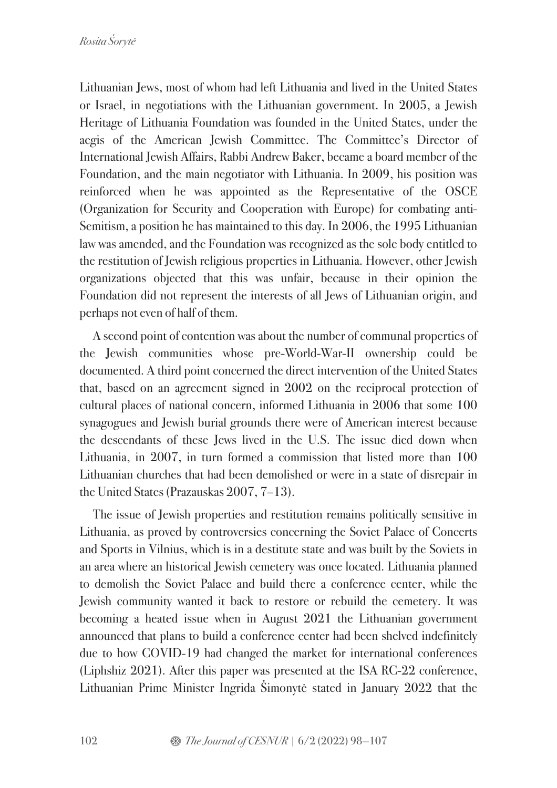Lithuanian Jews, most of whom had left Lithuania and lived in the United States or Israel, in negotiations with the Lithuanian government. In 2005, a Jewish Heritage of Lithuania Foundation was founded in the United States, under the aegis of the American Jewish Committee. The Committee's Director of International Jewish Affairs, Rabbi Andrew Baker, became a board member of the Foundation, and the main negotiator with Lithuania. In 2009, his position was reinforced when he was appointed as the Representative of the OSCE (Organization for Security and Cooperation with Europe) for combating anti-Semitism, a position he has maintained to this day. In 2006, the 1995 Lithuanian law was amended, and the Foundation was recognized as the sole body entitled to the restitution of Jewish religious properties in Lithuania. However, other Jewish organizations objected that this was unfair, because in their opinion the Foundation did not represent the interests of all Jews of Lithuanian origin, and perhaps not even of half of them.

A second point of contention was about the number of communal properties of the Jewish communities whose pre-World-War-II ownership could be documented. A third point concerned the direct intervention of the United States that, based on an agreement signed in 2002 on the reciprocal protection of cultural places of national concern, informed Lithuania in 2006 that some 100 synagogues and Jewish burial grounds there were of American interest because the descendants of these Jews lived in the U.S. The issue died down when Lithuania, in 2007, in turn formed a commission that listed more than 100 Lithuanian churches that had been demolished or were in a state of disrepair in the United States (Prazauskas 2007, 7–13).

The issue of Jewish properties and restitution remains politically sensitive in Lithuania, as proved by controversies concerning the Soviet Palace of Concerts and Sports in Vilnius, which is in a destitute state and was built by the Soviets in an area where an historical Jewish cemetery was once located. Lithuania planned to demolish the Soviet Palace and build there a conference center, while the Jewish community wanted it back to restore or rebuild the cemetery. It was becoming a heated issue when in August 2021 the Lithuanian government announced that plans to build a conference center had been shelved indefinitely due to how COVID-19 had changed the market for international conferences (Liphshiz 2021). After this paper was presented at the ISA RC-22 conference, Lithuanian Prime Minister Ingrida Šimonytė stated in January 2022 that the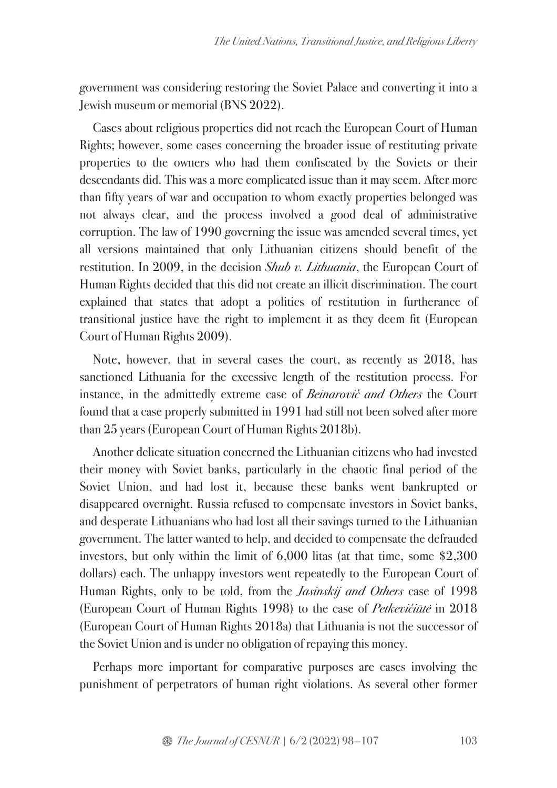government was considering restoring the Soviet Palace and converting it into a Jewish museum or memorial (BNS 2022).

Cases about religious properties did not reach the European Court of Human Rights; however, some cases concerning the broader issue of restituting private properties to the owners who had them confiscated by the Soviets or their descendants did. This was a more complicated issue than it may seem. After more than fifty years of war and occupation to whom exactly properties belonged was not always clear, and the process involved a good deal of administrative corruption. The law of 1990 governing the issue was amended several times, yet all versions maintained that only Lithuanian citizens should benefit of the restitution. In 2009, in the decision *Shub v. Lithuania*, the European Court of Human Rights decided that this did not create an illicit discrimination. The court explained that states that adopt a politics of restitution in furtherance of transitional justice have the right to implement it as they deem fit (European Court of Human Rights 2009).

Note, however, that in several cases the court, as recently as 2018, has sanctioned Lithuania for the excessive length of the restitution process. For instance, in the admittedly extreme case of *Beinarovi*č *and Others* the Court found that a case properly submitted in 1991 had still not been solved after more than 25 years (European Court of Human Rights 2018b).

Another delicate situation concerned the Lithuanian citizens who had invested their money with Soviet banks, particularly in the chaotic final period of the Soviet Union, and had lost it, because these banks went bankrupted or disappeared overnight. Russia refused to compensate investors in Soviet banks, and desperate Lithuanians who had lost all their savings turned to the Lithuanian government. The latter wanted to help, and decided to compensate the defrauded investors, but only within the limit of 6,000 litas (at that time, some \$2,300 dollars) each. The unhappy investors went repeatedly to the European Court of Human Rights, only to be told, from the *Jasinskij and Others* case of 1998 (European Court of Human Rights 1998) to the case of *Petkevi*č*i*ū*t*ė in 2018 (European Court of Human Rights 2018a) that Lithuania is not the successor of the Soviet Union and is under no obligation of repaying this money.

Perhaps more important for comparative purposes are cases involving the punishment of perpetrators of human right violations. As several other former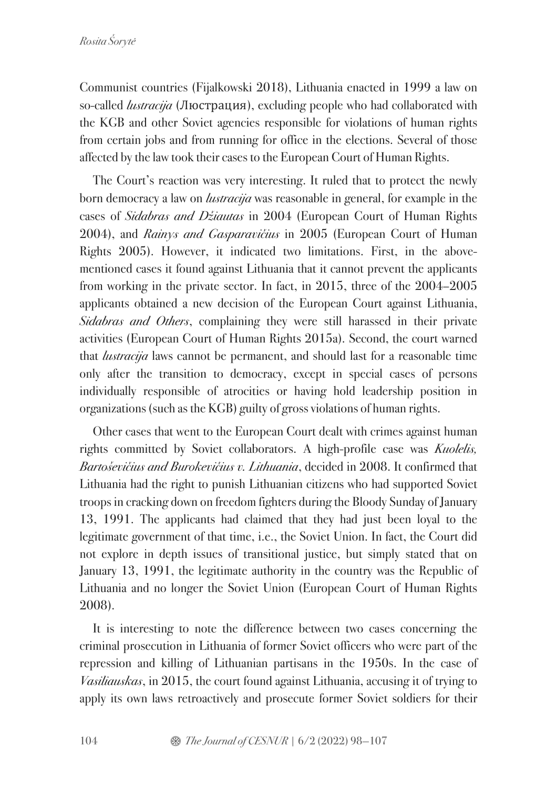Communist countries (Fijalkowski 2018), Lithuania enacted in 1999 a law on so-called *lustracija* (Люстрация), excluding people who had collaborated with the KGB and other Soviet agencies responsible for violations of human rights from certain jobs and from running for office in the elections. Several of those affected by the law took their cases to the European Court of Human Rights.

The Court's reaction was very interesting. It ruled that to protect the newly born democracy a law on *lustracija* was reasonable in general, for example in the cases of *Sidabras and D*ž*iautas* in 2004 (European Court of Human Rights 2004), and *Rainys and Gasparavi*č*ius* in 2005 (European Court of Human Rights 2005). However, it indicated two limitations. First, in the abovementioned cases it found against Lithuania that it cannot prevent the applicants from working in the private sector. In fact, in 2015, three of the 2004–2005 applicants obtained a new decision of the European Court against Lithuania, *Sidabras and Others*, complaining they were still harassed in their private activities (European Court of Human Rights 2015a). Second, the court warned that *lustracija* laws cannot be permanent, and should last for a reasonable time only after the transition to democracy, except in special cases of persons individually responsible of atrocities or having hold leadership position in organizations (such as the KGB) guilty of gross violations of human rights.

Other cases that went to the European Court dealt with crimes against human rights committed by Soviet collaborators. A high-profile case was *Kuolelis, Barto*š*evi*č*ius and Burokevi*č*ius v. Lithuania*, decided in 2008. It confirmed that Lithuania had the right to punish Lithuanian citizens who had supported Soviet troops in cracking down on freedom fighters during the Bloody Sunday of January 13, 1991. The applicants had claimed that they had just been loyal to the legitimate government of that time, i.e., the Soviet Union. In fact, the Court did not explore in depth issues of transitional justice, but simply stated that on January 13, 1991, the legitimate authority in the country was the Republic of Lithuania and no longer the Soviet Union (European Court of Human Rights 2008).

It is interesting to note the difference between two cases concerning the criminal prosecution in Lithuania of former Soviet officers who were part of the repression and killing of Lithuanian partisans in the 1950s. In the case of *Vasiliauskas*, in 2015, the court found against Lithuania, accusing it of trying to apply its own laws retroactively and prosecute former Soviet soldiers for their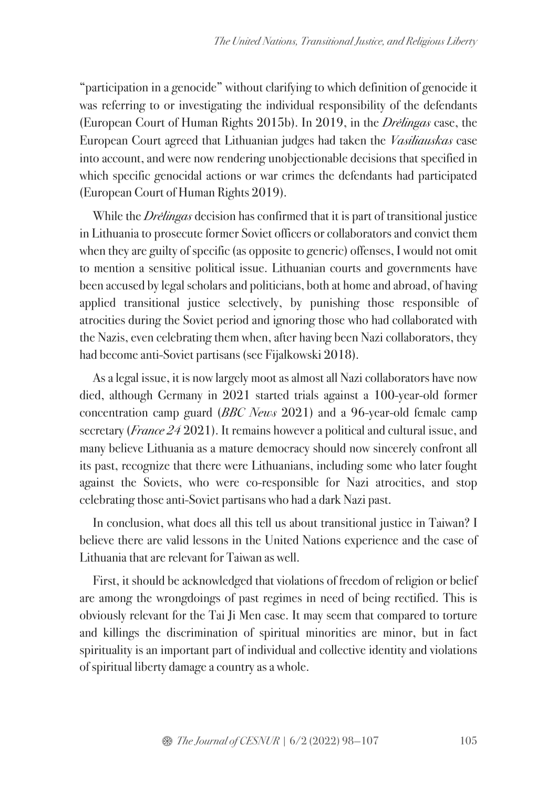"participation in a genocide" without clarifying to which definition of genocide it was referring to or investigating the individual responsibility of the defendants (European Court of Human Rights 2015b). In 2019, in the *Dr*ė*lingas* case, the European Court agreed that Lithuanian judges had taken the *Vasiliauskas* case into account, and were now rendering unobjectionable decisions that specified in which specific genocidal actions or war crimes the defendants had participated (European Court of Human Rights 2019).

While the *Dr*ė*lingas* decision has confirmed that it is part of transitional justice in Lithuania to prosecute former Soviet officers or collaborators and convict them when they are guilty of specific (as opposite to generic) offenses, I would not omit to mention a sensitive political issue. Lithuanian courts and governments have been accused by legal scholars and politicians, both at home and abroad, of having applied transitional justice selectively, by punishing those responsible of atrocities during the Soviet period and ignoring those who had collaborated with the Nazis, even celebrating them when, after having been Nazi collaborators, they had become anti-Soviet partisans (see Fijalkowski 2018).

As a legal issue, it is now largely moot as almost all Nazi collaborators have now died, although Germany in 2021 started trials against a 100-year-old former concentration camp guard (*BBC News* 2021) and a 96-year-old female camp secretary (*France 24* 2021). It remains however a political and cultural issue, and many believe Lithuania as a mature democracy should now sincerely confront all its past, recognize that there were Lithuanians, including some who later fought against the Soviets, who were co-responsible for Nazi atrocities, and stop celebrating those anti-Soviet partisans who had a dark Nazi past.

In conclusion, what does all this tell us about transitional justice in Taiwan? I believe there are valid lessons in the United Nations experience and the case of Lithuania that are relevant for Taiwan as well.

First, it should be acknowledged that violations of freedom of religion or belief are among the wrongdoings of past regimes in need of being rectified. This is obviously relevant for the Tai Ji Men case. It may seem that compared to torture and killings the discrimination of spiritual minorities are minor, but in fact spirituality is an important part of individual and collective identity and violations of spiritual liberty damage a country as a whole.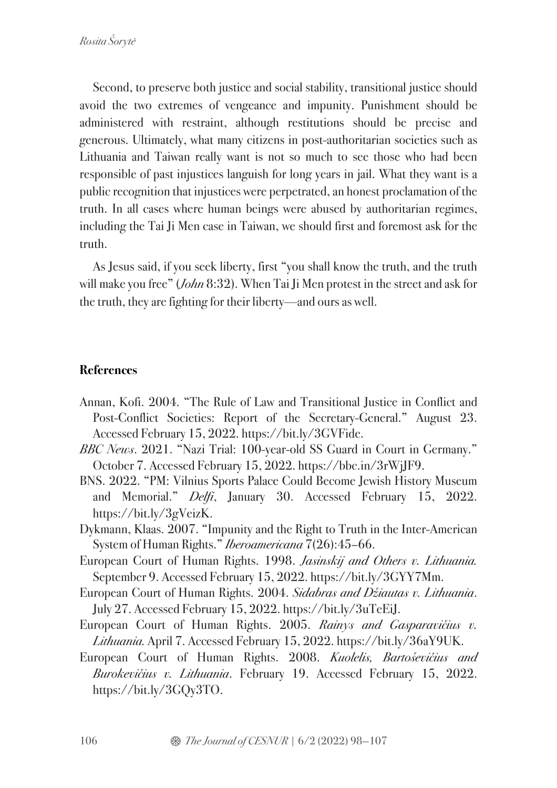Second, to preserve both justice and social stability, transitional justice should avoid the two extremes of vengeance and impunity. Punishment should be administered with restraint, although restitutions should be precise and generous. Ultimately, what many citizens in post-authoritarian societies such as Lithuania and Taiwan really want is not so much to see those who had been responsible of past injustices languish for long years in jail. What they want is a public recognition that injustices were perpetrated, an honest proclamation of the truth. In all cases where human beings were abused by authoritarian regimes, including the Tai Ji Men case in Taiwan, we should first and foremost ask for the truth.

As Jesus said, if you seek liberty, first "you shall know the truth, and the truth will make you free" (*John* 8:32). When Tai Ji Men protest in the street and ask for the truth, they are fighting for their liberty—and ours as well.

## **References**

- Annan, Kofi. 2004. "The Rule of Law and Transitional Justice in Conflict and Post-Conflict Societies: Report of the Secretary-General." August 23. Accessed February 15, 2022. https://bit.ly/3GVFide.
- *BBC News*. 2021. "Nazi Trial: 100-year-old SS Guard in Court in Germany." October 7. Accessed February 15, 2022. https://bbc.in/3rWjJF9.
- BNS. 2022. "PM: Vilnius Sports Palace Could Become Jewish History Museum and Memorial." *Delfi*, January 30. Accessed February 15, 2022. https://bit.ly/3gVeizK.
- Dykmann, Klaas. 2007. "Impunity and the Right to Truth in the Inter-American System of Human Rights." *Iberoamericana* 7(26):45–66.
- European Court of Human Rights. 1998. *Jasinskij and Others v. Lithuania.* September 9. Accessed February 15, 2022. https://bit.ly/3GYY7Mm.
- European Court of Human Rights. 2004. *Sidabras and D*ž*iautas v. Lithuania*. July 27. Accessed February 15, 2022. https://bit.ly/3uTeEiJ.
- European Court of Human Rights. 2005. *Rainys and Gasparavi*č*ius v. Lithuania.* April 7. Accessed February 15, 2022. https://bit.ly/36aY9UK.
- European Court of Human Rights. 2008. *Kuolelis, Barto*š*evi*č*ius and Burokevi*č*ius v. Lithuania*. February 19. Accessed February 15, 2022. https://bit.ly/3GQy3TO.